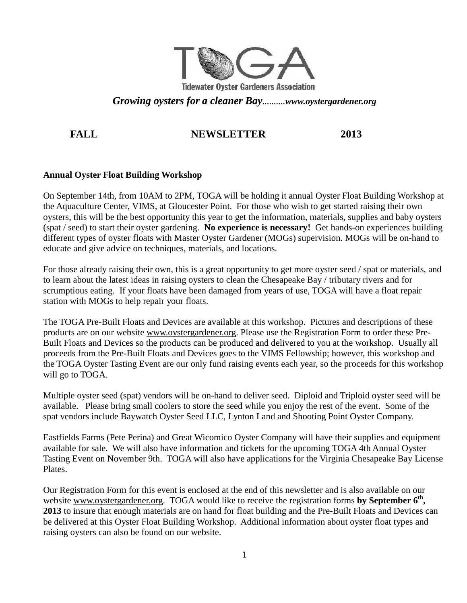

*Growing oysters for a cleaner Bay..........www.oystergardener.org* 

# FALL NEWSLETTER 2013

# **Annual Oyster Float Building Workshop**

On September 14th, from 10AM to 2PM, TOGA will be holding it annual Oyster Float Building Workshop at the Aquaculture Center, VIMS, at Gloucester Point. For those who wish to get started raising their own oysters, this will be the best opportunity this year to get the information, materials, supplies and baby oysters (spat / seed) to start their oyster gardening. **No experience is necessary!** Get hands-on experiences building different types of oyster floats with Master Oyster Gardener (MOGs) supervision. MOGs will be on-hand to educate and give advice on techniques, materials, and locations.

For those already raising their own, this is a great opportunity to get more oyster seed / spat or materials, and to learn about the latest ideas in raising oysters to clean the Chesapeake Bay / tributary rivers and for scrumptious eating. If your floats have been damaged from years of use, TOGA will have a float repair station with MOGs to help repair your floats.

The TOGA Pre-Built Floats and Devices are available at this workshop. Pictures and descriptions of these products are on our website www.oystergardener.org. Please use the Registration Form to order these Pre-Built Floats and Devices so the products can be produced and delivered to you at the workshop. Usually all proceeds from the Pre-Built Floats and Devices goes to the VIMS Fellowship; however, this workshop and the TOGA Oyster Tasting Event are our only fund raising events each year, so the proceeds for this workshop will go to TOGA.

Multiple oyster seed (spat) vendors will be on-hand to deliver seed. Diploid and Triploid oyster seed will be available. Please bring small coolers to store the seed while you enjoy the rest of the event. Some of the spat vendors include Baywatch Oyster Seed LLC, Lynton Land and Shooting Point Oyster Company.

Eastfields Farms (Pete Perina) and Great Wicomico Oyster Company will have their supplies and equipment available for sale. We will also have information and tickets for the upcoming TOGA 4th Annual Oyster Tasting Event on November 9th. TOGA will also have applications for the Virginia Chesapeake Bay License Plates.

Our Registration Form for this event is enclosed at the end of this newsletter and is also available on our website www.oystergardener.org. TOGA would like to receive the registration forms by September 6<sup>th</sup>, **2013** to insure that enough materials are on hand for float building and the Pre-Built Floats and Devices can be delivered at this Oyster Float Building Workshop. Additional information about oyster float types and raising oysters can also be found on our website.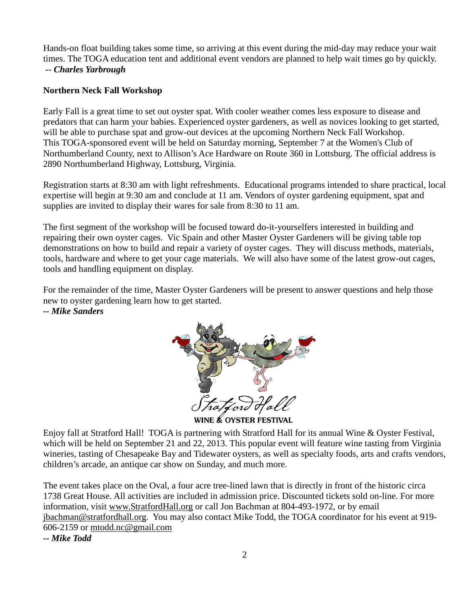Hands-on float building takes some time, so arriving at this event during the mid-day may reduce your wait times. The TOGA education tent and additional event vendors are planned to help wait times go by quickly.  *-- Charles Yarbrough* 

## **Northern Neck Fall Workshop**

Early Fall is a great time to set out oyster spat. With cooler weather comes less exposure to disease and predators that can harm your babies. Experienced oyster gardeners, as well as novices looking to get started, will be able to purchase spat and grow-out devices at the upcoming Northern Neck Fall Workshop. This TOGA-sponsored event will be held on Saturday morning, September 7 at the Women's Club of Northumberland County, next to Allison's Ace Hardware on Route 360 in Lottsburg. The official address is 2890 Northumberland Highway, Lottsburg, Virginia.

Registration starts at 8:30 am with light refreshments. Educational programs intended to share practical, local expertise will begin at 9:30 am and conclude at 11 am. Vendors of oyster gardening equipment, spat and supplies are invited to display their wares for sale from 8:30 to 11 am.

The first segment of the workshop will be focused toward do-it-yourselfers interested in building and repairing their own oyster cages. Vic Spain and other Master Oyster Gardeners will be giving table top demonstrations on how to build and repair a variety of oyster cages. They will discuss methods, materials, tools, hardware and where to get your cage materials. We will also have some of the latest grow-out cages, tools and handling equipment on display.

For the remainder of the time, Master Oyster Gardeners will be present to answer questions and help those new to oyster gardening learn how to get started. *-- Mike Sanders* 



WINE & OYSTER FESTIVAL

Enjoy fall at Stratford Hall! TOGA is partnering with Stratford Hall for its annual Wine & Oyster Festival, which will be held on September 21 and 22, 2013. This popular event will feature wine tasting from Virginia wineries, tasting of Chesapeake Bay and Tidewater oysters, as well as specialty foods, arts and crafts vendors, children's arcade, an antique car show on Sunday, and much more.

The event takes place on the Oval, a four acre tree-lined lawn that is directly in front of the historic circa 1738 Great House. All activities are included in admission price. Discounted tickets sold on-line. For more information, visit www.StratfordHall.org or call Jon Bachman at 804-493-1972, or by email jbachman@stratfordhall.org. You may also contact Mike Todd, the TOGA coordinator for his event at 919- 606-2159 or mtodd.nc@gmail.com

*-- Mike Todd*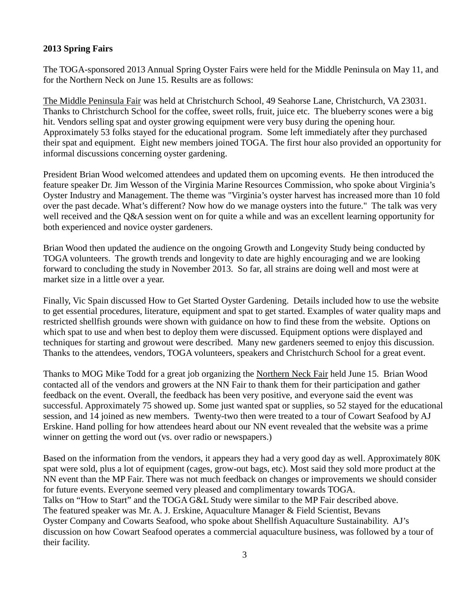## **2013 Spring Fairs**

The TOGA-sponsored 2013 Annual Spring Oyster Fairs were held for the Middle Peninsula on May 11, and for the Northern Neck on June 15. Results are as follows:

The Middle Peninsula Fair was held at Christchurch School, 49 Seahorse Lane, Christchurch, VA 23031. Thanks to Christchurch School for the coffee, sweet rolls, fruit, juice etc. The blueberry scones were a big hit. Vendors selling spat and oyster growing equipment were very busy during the opening hour. Approximately 53 folks stayed for the educational program. Some left immediately after they purchased their spat and equipment. Eight new members joined TOGA. The first hour also provided an opportunity for informal discussions concerning oyster gardening.

President Brian Wood welcomed attendees and updated them on upcoming events. He then introduced the feature speaker Dr. Jim Wesson of the Virginia Marine Resources Commission, who spoke about Virginia's Oyster Industry and Management. The theme was "Virginia's oyster harvest has increased more than 10 fold over the past decade. What's different? Now how do we manage oysters into the future." The talk was very well received and the Q&A session went on for quite a while and was an excellent learning opportunity for both experienced and novice oyster gardeners.

Brian Wood then updated the audience on the ongoing Growth and Longevity Study being conducted by TOGA volunteers. The growth trends and longevity to date are highly encouraging and we are looking forward to concluding the study in November 2013. So far, all strains are doing well and most were at market size in a little over a year.

Finally, Vic Spain discussed How to Get Started Oyster Gardening. Details included how to use the website to get essential procedures, literature, equipment and spat to get started. Examples of water quality maps and restricted shellfish grounds were shown with guidance on how to find these from the website. Options on which spat to use and when best to deploy them were discussed. Equipment options were displayed and techniques for starting and growout were described. Many new gardeners seemed to enjoy this discussion. Thanks to the attendees, vendors, TOGA volunteers, speakers and Christchurch School for a great event.

Thanks to MOG Mike Todd for a great job organizing the Northern Neck Fair held June 15. Brian Wood contacted all of the vendors and growers at the NN Fair to thank them for their participation and gather feedback on the event. Overall, the feedback has been very positive, and everyone said the event was successful. Approximately 75 showed up. Some just wanted spat or supplies, so 52 stayed for the educational session, and 14 joined as new members. Twenty-two then were treated to a tour of Cowart Seafood by AJ Erskine. Hand polling for how attendees heard about our NN event revealed that the website was a prime winner on getting the word out (vs. over radio or newspapers.)

Based on the information from the vendors, it appears they had a very good day as well. Approximately 80K spat were sold, plus a lot of equipment (cages, grow-out bags, etc). Most said they sold more product at the NN event than the MP Fair. There was not much feedback on changes or improvements we should consider for future events. Everyone seemed very pleased and complimentary towards TOGA. Talks on "How to Start" and the TOGA G&L Study were similar to the MP Fair described above. The featured speaker was Mr. A. J. Erskine, Aquaculture Manager & Field Scientist, Bevans Oyster Company and Cowarts Seafood, who spoke about Shellfish Aquaculture Sustainability. AJ's discussion on how Cowart Seafood operates a commercial aquaculture business, was followed by a tour of their facility.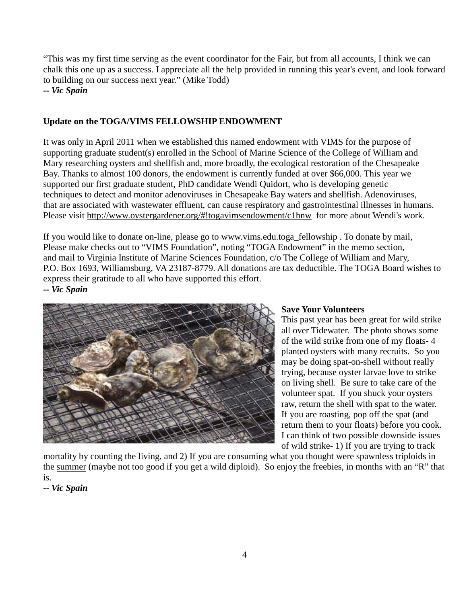"This was my first time serving as the event coordinator for the Fair, but from all accounts, I think we can chalk this one up as a success. I appreciate all the help provided in running this year's event, and look forward to building on our success next year." (Mike Todd)

*-- Vic Spain* 

# **Update on the TOGA/VIMS FELLOWSHIP ENDOWMENT**

It was only in April 2011 when we established this named endowment with VIMS for the purpose of supporting graduate student(s) enrolled in the School of Marine Science of the College of William and Mary researching oysters and shellfish and, more broadly, the ecological restoration of the Chesapeake Bay. Thanks to almost 100 donors, the endowment is currently funded at over \$66,000. This year we supported our first graduate student, PhD candidate Wendi Quidort, who is developing genetic techniques to detect and monitor adenoviruses in Chesapeake Bay waters and shellfish. Adenoviruses, that are associated with wastewater effluent, can cause respiratory and gastrointestinal illnesses in humans. Please visit http://www.oystergardener.org/#!togavimsendowment/c1hnw for more about Wendi's work.

If you would like to donate on-line, please go to www.vims.edu.toga\_fellowship . To donate by mail, Please make checks out to "VIMS Foundation", noting "TOGA Endowment" in the memo section, and mail to Virginia Institute of Marine Sciences Foundation, c/o The College of William and Mary, P.O. Box 1693, Williamsburg, VA 23187-8779. All donations are tax deductible. The TOGA Board wishes to express their gratitude to all who have supported this effort.

*-- Vic Spain* 



## **Save Your Volunteers**

This past year has been great for wild strike all over Tidewater. The photo shows some of the wild strike from one of my floats- 4 planted oysters with many recruits. So you may be doing spat-on-shell without really trying, because oyster larvae love to strike on living shell. Be sure to take care of the volunteer spat. If you shuck your oysters raw, return the shell with spat to the water. If you are roasting, pop off the spat (and return them to your floats) before you cook. I can think of two possible downside issues of wild strike- 1) If you are trying to track

mortality by counting the living, and 2) If you are consuming what you thought were spawnless triploids in the summer (maybe not too good if you get a wild diploid). So enjoy the freebies, in months with an "R" that is.

*<sup>--</sup> Vic Spain*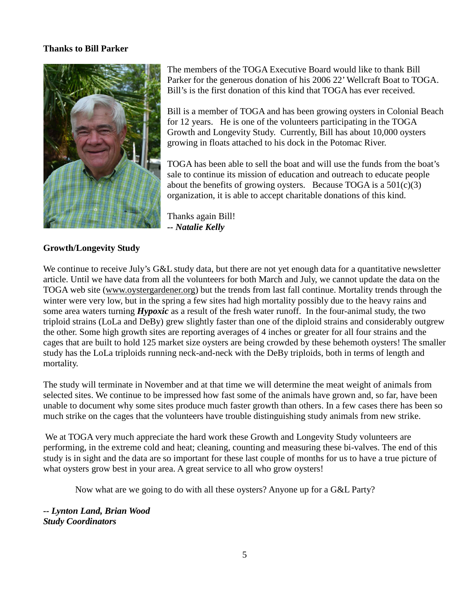#### **Thanks to Bill Parker**



The members of the TOGA Executive Board would like to thank Bill Parker for the generous donation of his 2006 22' Wellcraft Boat to TOGA. Bill's is the first donation of this kind that TOGA has ever received.

Bill is a member of TOGA and has been growing oysters in Colonial Beach for 12 years. He is one of the volunteers participating in the TOGA Growth and Longevity Study. Currently, Bill has about 10,000 oysters growing in floats attached to his dock in the Potomac River.

TOGA has been able to sell the boat and will use the funds from the boat's sale to continue its mission of education and outreach to educate people about the benefits of growing oysters. Because TOGA is a  $501(c)(3)$ organization, it is able to accept charitable donations of this kind.

Thanks again Bill! *-- Natalie Kelly* 

### **Growth/Longevity Study**

We continue to receive July's G&L study data, but there are not yet enough data for a quantitative newsletter article. Until we have data from all the volunteers for both March and July, we cannot update the data on the TOGA web site (www.oystergardener.org) but the trends from last fall continue. Mortality trends through the winter were very low, but in the spring a few sites had high mortality possibly due to the heavy rains and some area waters turning *Hypoxic* as a result of the fresh water runoff. In the four-animal study, the two triploid strains (LoLa and DeBy) grew slightly faster than one of the diploid strains and considerably outgrew the other. Some high growth sites are reporting averages of 4 inches or greater for all four strains and the cages that are built to hold 125 market size oysters are being crowded by these behemoth oysters! The smaller study has the LoLa triploids running neck-and-neck with the DeBy triploids, both in terms of length and mortality.

The study will terminate in November and at that time we will determine the meat weight of animals from selected sites. We continue to be impressed how fast some of the animals have grown and, so far, have been unable to document why some sites produce much faster growth than others. In a few cases there has been so much strike on the cages that the volunteers have trouble distinguishing study animals from new strike.

 We at TOGA very much appreciate the hard work these Growth and Longevity Study volunteers are performing, in the extreme cold and heat; cleaning, counting and measuring these bi-valves. The end of this study is in sight and the data are so important for these last couple of months for us to have a true picture of what oysters grow best in your area. A great service to all who grow oysters!

Now what are we going to do with all these oysters? Anyone up for a G&L Party?

*-- Lynton Land, Brian Wood Study Coordinators*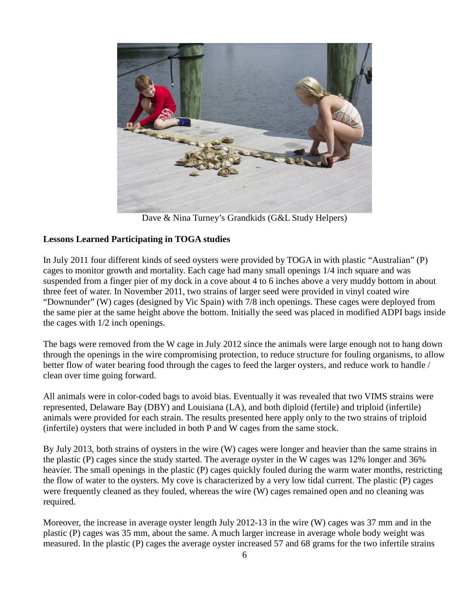

Dave & Nina Turney's Grandkids (G&L Study Helpers)

## **Lessons Learned Participating in TOGA studies**

In July 2011 four different kinds of seed oysters were provided by TOGA in with plastic "Australian" (P) cages to monitor growth and mortality. Each cage had many small openings 1/4 inch square and was suspended from a finger pier of my dock in a cove about 4 to 6 inches above a very muddy bottom in about three feet of water. In November 2011, two strains of larger seed were provided in vinyl coated wire "Downunder" (W) cages (designed by Vic Spain) with 7/8 inch openings. These cages were deployed from the same pier at the same height above the bottom. Initially the seed was placed in modified ADPI bags inside the cages with 1/2 inch openings.

The bags were removed from the W cage in July 2012 since the animals were large enough not to hang down through the openings in the wire compromising protection, to reduce structure for fouling organisms, to allow better flow of water bearing food through the cages to feed the larger oysters, and reduce work to handle / clean over time going forward.

All animals were in color-coded bags to avoid bias. Eventually it was revealed that two VIMS strains were represented, Delaware Bay (DBY) and Louisiana (LA), and both diploid (fertile) and triploid (infertile) animals were provided for each strain. The results presented here apply only to the two strains of triploid (infertile) oysters that were included in both P and W cages from the same stock.

By July 2013, both strains of oysters in the wire (W) cages were longer and heavier than the same strains in the plastic (P) cages since the study started. The average oyster in the W cages was 12% longer and 36% heavier. The small openings in the plastic (P) cages quickly fouled during the warm water months, restricting the flow of water to the oysters. My cove is characterized by a very low tidal current. The plastic (P) cages were frequently cleaned as they fouled, whereas the wire (W) cages remained open and no cleaning was required.

Moreover, the increase in average oyster length July 2012-13 in the wire (W) cages was 37 mm and in the plastic (P) cages was 35 mm, about the same. A much larger increase in average whole body weight was measured. In the plastic (P) cages the average oyster increased 57 and 68 grams for the two infertile strains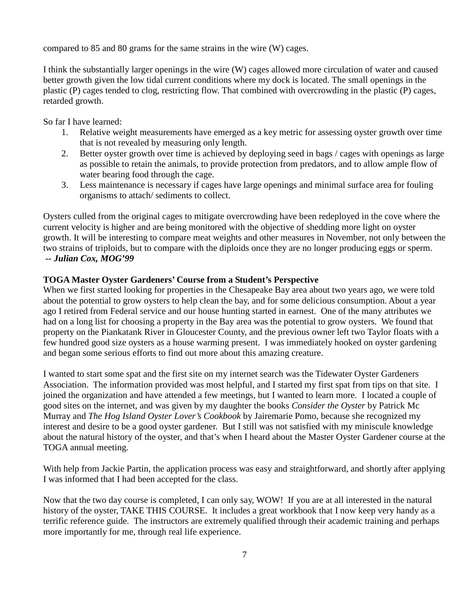compared to 85 and 80 grams for the same strains in the wire (W) cages.

I think the substantially larger openings in the wire (W) cages allowed more circulation of water and caused better growth given the low tidal current conditions where my dock is located. The small openings in the plastic (P) cages tended to clog, restricting flow. That combined with overcrowding in the plastic (P) cages, retarded growth.

So far I have learned:

- 1. Relative weight measurements have emerged as a key metric for assessing oyster growth over time that is not revealed by measuring only length.
- 2. Better oyster growth over time is achieved by deploying seed in bags / cages with openings as large as possible to retain the animals, to provide protection from predators, and to allow ample flow of water bearing food through the cage.
- 3. Less maintenance is necessary if cages have large openings and minimal surface area for fouling organisms to attach/ sediments to collect.

Oysters culled from the original cages to mitigate overcrowding have been redeployed in the cove where the current velocity is higher and are being monitored with the objective of shedding more light on oyster growth. It will be interesting to compare meat weights and other measures in November, not only between the two strains of triploids, but to compare with the diploids once they are no longer producing eggs or sperm. *-- Julian Cox, MOG'99*

### **TOGA Master Oyster Gardeners' Course from a Student's Perspective**

When we first started looking for properties in the Chesapeake Bay area about two years ago, we were told about the potential to grow oysters to help clean the bay, and for some delicious consumption. About a year ago I retired from Federal service and our house hunting started in earnest. One of the many attributes we had on a long list for choosing a property in the Bay area was the potential to grow oysters. We found that property on the Piankatank River in Gloucester County, and the previous owner left two Taylor floats with a few hundred good size oysters as a house warming present. I was immediately hooked on oyster gardening and began some serious efforts to find out more about this amazing creature.

I wanted to start some spat and the first site on my internet search was the Tidewater Oyster Gardeners Association. The information provided was most helpful, and I started my first spat from tips on that site. I joined the organization and have attended a few meetings, but I wanted to learn more. I located a couple of good sites on the internet, and was given by my daughter the books *Consider the Oyster* by Patrick Mc Murray and *The Hog Island Oyster Lover's Cookbook* by Jairemarie Pomo, because she recognized my interest and desire to be a good oyster gardener. But I still was not satisfied with my miniscule knowledge about the natural history of the oyster, and that's when I heard about the Master Oyster Gardener course at the TOGA annual meeting.

With help from Jackie Partin, the application process was easy and straightforward, and shortly after applying I was informed that I had been accepted for the class.

Now that the two day course is completed, I can only say, WOW! If you are at all interested in the natural history of the oyster, TAKE THIS COURSE. It includes a great workbook that I now keep very handy as a terrific reference guide. The instructors are extremely qualified through their academic training and perhaps more importantly for me, through real life experience.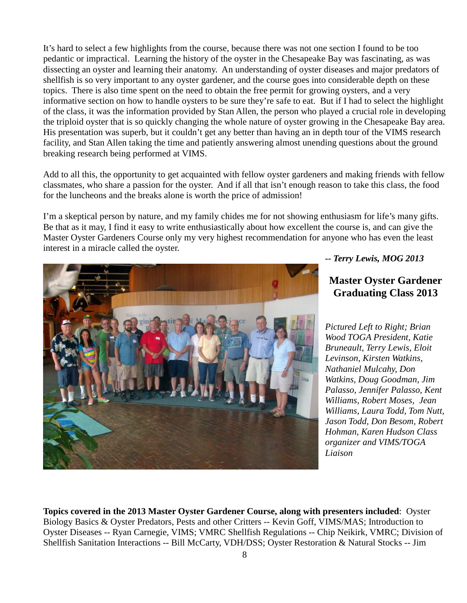It's hard to select a few highlights from the course, because there was not one section I found to be too pedantic or impractical. Learning the history of the oyster in the Chesapeake Bay was fascinating, as was dissecting an oyster and learning their anatomy. An understanding of oyster diseases and major predators of shellfish is so very important to any oyster gardener, and the course goes into considerable depth on these topics. There is also time spent on the need to obtain the free permit for growing oysters, and a very informative section on how to handle oysters to be sure they're safe to eat. But if I had to select the highlight of the class, it was the information provided by Stan Allen, the person who played a crucial role in developing the triploid oyster that is so quickly changing the whole nature of oyster growing in the Chesapeake Bay area. His presentation was superb, but it couldn't get any better than having an in depth tour of the VIMS research facility, and Stan Allen taking the time and patiently answering almost unending questions about the ground breaking research being performed at VIMS.

Add to all this, the opportunity to get acquainted with fellow oyster gardeners and making friends with fellow classmates, who share a passion for the oyster. And if all that isn't enough reason to take this class, the food for the luncheons and the breaks alone is worth the price of admission!

I'm a skeptical person by nature, and my family chides me for not showing enthusiasm for life's many gifts. Be that as it may, I find it easy to write enthusiastically about how excellent the course is, and can give the Master Oyster Gardeners Course only my very highest recommendation for anyone who has even the least interest in a miracle called the oyster.



*-- Terry Lewis, MOG 2013* 

# **Master Oyster Gardener Graduating Class 2013**

*Pictured Left to Right; Brian Wood TOGA President, Katie Bruneault, Terry Lewis, Eloit Levinson, Kirsten Watkins, Nathaniel Mulcahy, Don Watkins, Doug Goodman, Jim Palasso, Jennifer Palasso, Kent Williams, Robert Moses, Jean Williams, Laura Todd, Tom Nutt, Jason Todd, Don Besom, Robert Hohman, Karen Hudson Class organizer and VIMS/TOGA Liaison*

**Topics covered in the 2013 Master Oyster Gardener Course, along with presenters included**: Oyster Biology Basics & Oyster Predators, Pests and other Critters -- Kevin Goff, VIMS/MAS; Introduction to Oyster Diseases -- Ryan Carnegie, VIMS; VMRC Shellfish Regulations -- Chip Neikirk, VMRC; Division of Shellfish Sanitation Interactions -- Bill McCarty, VDH/DSS; Oyster Restoration & Natural Stocks -- Jim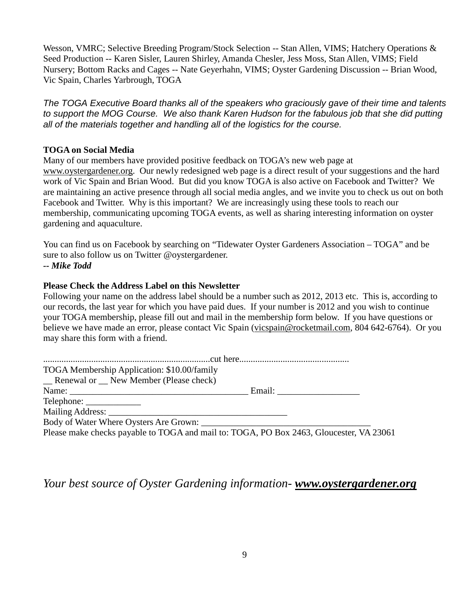Wesson, VMRC; Selective Breeding Program/Stock Selection -- Stan Allen, VIMS; Hatchery Operations & Seed Production -- Karen Sisler, Lauren Shirley, Amanda Chesler, Jess Moss, Stan Allen, VIMS; Field Nursery; Bottom Racks and Cages -- Nate Geyerhahn, VIMS; Oyster Gardening Discussion -- Brian Wood, Vic Spain, Charles Yarbrough, TOGA

The TOGA Executive Board thanks all of the speakers who graciously gave of their time and talents to support the MOG Course. We also thank Karen Hudson for the fabulous job that she did putting all of the materials together and handling all of the logistics for the course.

### **TOGA on Social Media**

Many of our members have provided positive feedback on TOGA's new web page at www.oystergardener.org. Our newly redesigned web page is a direct result of your suggestions and the hard work of Vic Spain and Brian Wood. But did you know TOGA is also active on Facebook and Twitter? We are maintaining an active presence through all social media angles, and we invite you to check us out on both Facebook and Twitter. Why is this important? We are increasingly using these tools to reach our membership, communicating upcoming TOGA events, as well as sharing interesting information on oyster gardening and aquaculture.

You can find us on Facebook by searching on "Tidewater Oyster Gardeners Association – TOGA" and be sure to also follow us on Twitter @oystergardener. *-- Mike Todd* 

#### **Please Check the Address Label on this Newsletter**

Following your name on the address label should be a number such as 2012, 2013 etc. This is, according to our records, the last year for which you have paid dues. If your number is 2012 and you wish to continue your TOGA membership, please fill out and mail in the membership form below. If you have questions or believe we have made an error, please contact Vic Spain (vicspain@rocketmail.com, 804 642-6764). Or you may share this form with a friend.

| TOGA Membership Application: \$10.00/family                                             |  |
|-----------------------------------------------------------------------------------------|--|
| <b>Example 1</b> Renewal or <b>New Member</b> (Please check)                            |  |
|                                                                                         |  |
|                                                                                         |  |
|                                                                                         |  |
| Body of Water Where Oysters Are Grown:                                                  |  |
| Please make checks payable to TOGA and mail to: TOGA, PO Box 2463, Gloucester, VA 23061 |  |

*Your best source of Oyster Gardening information- www.oystergardener.org*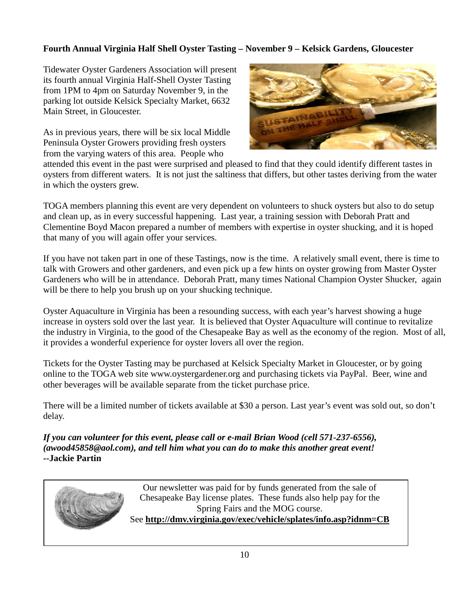# **Fourth Annual Virginia Half Shell Oyster Tasting – November 9 – Kelsick Gardens, Gloucester**

Tidewater Oyster Gardeners Association will present its fourth annual Virginia Half-Shell Oyster Tasting from 1PM to 4pm on Saturday November 9, in the parking lot outside Kelsick Specialty Market, 6632 Main Street, in Gloucester.

As in previous years, there will be six local Middle Peninsula Oyster Growers providing fresh oysters from the varying waters of this area. People who



attended this event in the past were surprised and pleased to find that they could identify different tastes in oysters from different waters. It is not just the saltiness that differs, but other tastes deriving from the water in which the oysters grew.

TOGA members planning this event are very dependent on volunteers to shuck oysters but also to do setup and clean up, as in every successful happening. Last year, a training session with Deborah Pratt and Clementine Boyd Macon prepared a number of members with expertise in oyster shucking, and it is hoped that many of you will again offer your services.

If you have not taken part in one of these Tastings, now is the time. A relatively small event, there is time to talk with Growers and other gardeners, and even pick up a few hints on oyster growing from Master Oyster Gardeners who will be in attendance. Deborah Pratt, many times National Champion Oyster Shucker, again will be there to help you brush up on your shucking technique.

Oyster Aquaculture in Virginia has been a resounding success, with each year's harvest showing a huge increase in oysters sold over the last year. It is believed that Oyster Aquaculture will continue to revitalize the industry in Virginia, to the good of the Chesapeake Bay as well as the economy of the region. Most of all, it provides a wonderful experience for oyster lovers all over the region.

Tickets for the Oyster Tasting may be purchased at Kelsick Specialty Market in Gloucester, or by going online to the TOGA web site www.oystergardener.org and purchasing tickets via PayPal. Beer, wine and other beverages will be available separate from the ticket purchase price.

There will be a limited number of tickets available at \$30 a person. Last year's event was sold out, so don't delay.

*If you can volunteer for this event, please call or e-mail Brian Wood (cell 571-237-6556), (awood45858@aol.com), and tell him what you can do to make this another great event!*  **--Jackie Partin** 



Our newsletter was paid for by funds generated from the sale of Chesapeake Bay license plates. These funds also help pay for the Spring Fairs and the MOG course. See **http://dmv.virginia.gov/exec/vehicle/splates/info.asp?idnm=CB**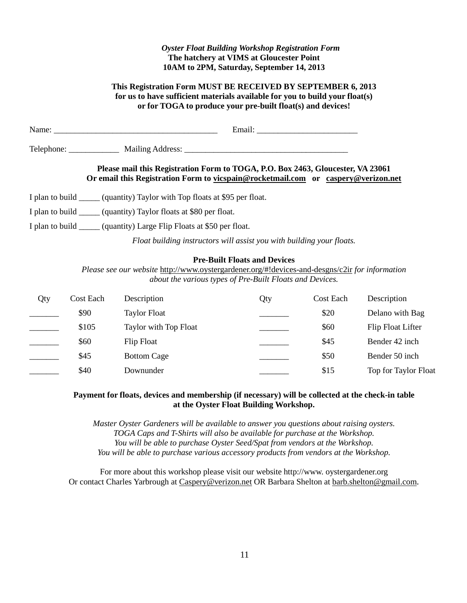#### *Oyster Float Building Workshop Registration Form*  **The hatchery at VIMS at Gloucester Point 10AM to 2PM, Saturday, September 14, 2013**

#### **This Registration Form MUST BE RECEIVED BY SEPTEMBER 6, 2013 for us to have sufficient materials available for you to build your float(s) or for TOGA to produce your pre-built float(s) and devices!**

| Name:                                                                                                                                                                |  |  |  |  |
|----------------------------------------------------------------------------------------------------------------------------------------------------------------------|--|--|--|--|
|                                                                                                                                                                      |  |  |  |  |
| Please mail this Registration Form to TOGA, P.O. Box 2463, Gloucester, VA 23061<br>Or email this Registration Form to vicspain@rocketmail.com or caspery@verizon.net |  |  |  |  |
| I plan to build ______ (quantity) Taylor with Top floats at \$95 per float.                                                                                          |  |  |  |  |
| I plan to build ______ (quantity) Taylor floats at \$80 per float.                                                                                                   |  |  |  |  |
|                                                                                                                                                                      |  |  |  |  |

I plan to build \_\_\_\_\_ (quantity) Large Flip Floats at \$50 per float.

*Float building instructors will assist you with building your floats.* 

#### **Pre-Built Floats and Devices**

*Please see our website* http://www.oystergardener.org/#!devices-and-desgns/c2ir *for information about the various types of Pre-Built Floats and Devices.* 

| Qty | Cost Each | Description           | Qty | Cost Each | Description          |
|-----|-----------|-----------------------|-----|-----------|----------------------|
|     | \$90      | <b>Taylor Float</b>   |     | \$20      | Delano with Bag      |
|     | \$105     | Taylor with Top Float |     | \$60      | Flip Float Lifter    |
|     | \$60      | Flip Float            |     | \$45      | Bender 42 inch       |
|     | \$45      | <b>Bottom Cage</b>    |     | \$50      | Bender 50 inch       |
|     | \$40      | Downunder             |     | \$15      | Top for Taylor Float |

#### **Payment for floats, devices and membership (if necessary) will be collected at the check-in table at the Oyster Float Building Workshop.**

*Master Oyster Gardeners will be available to answer you questions about raising oysters. TOGA Caps and T-Shirts will also be available for purchase at the Workshop. You will be able to purchase Oyster Seed/Spat from vendors at the Workshop. You will be able to purchase various accessory products from vendors at the Workshop.* 

For more about this workshop please visit our website http://www. oystergardener.org Or contact Charles Yarbrough at Caspery@verizon.net OR Barbara Shelton at barb.shelton@gmail.com.